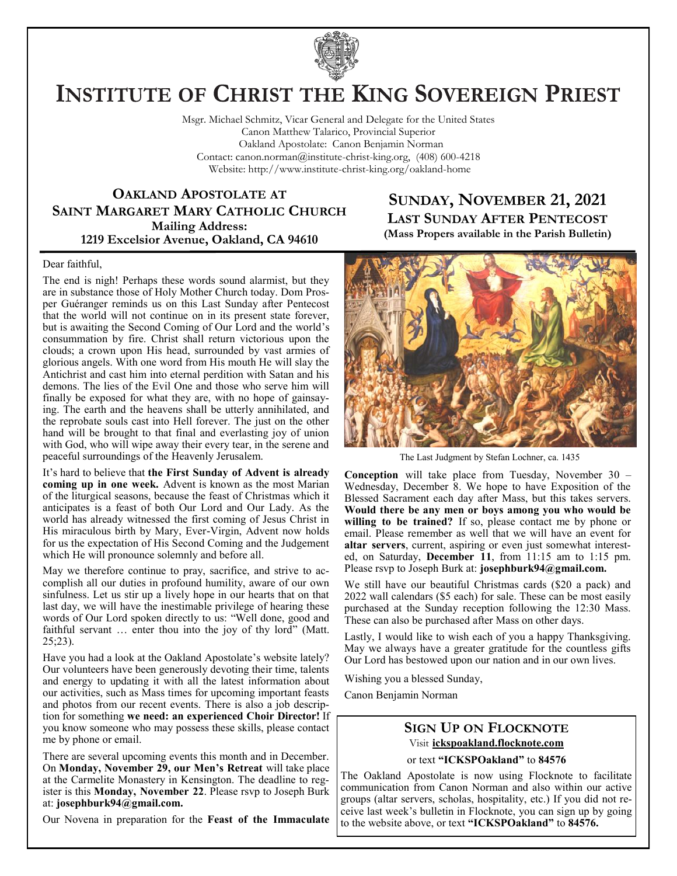

# **INSTITUTE OF CHRIST THE KING SOVEREIGN PRIEST**

Msgr. Michael Schmitz, Vicar General and Delegate for the United States Canon Matthew Talarico, Provincial Superior Oakland Apostolate: Canon Benjamin Norman Contact: canon.norman@institute-christ-king.org, (408) 600-4218 Website: http://www.institute-christ-king.org/oakland-home

**OAKLAND APOSTOLATE AT SAINT MARGARET MARY CATHOLIC CHURCH Mailing Address: 1219 Excelsior Avenue, Oakland, CA 94610**

### **SUNDAY, NOVEMBER 21, 2021 LAST SUNDAY AFTER PENTECOST (Mass Propers available in the Parish Bulletin)**

Dear faithful,

The end is nigh! Perhaps these words sound alarmist, but they are in substance those of Holy Mother Church today. Dom Prosper Guéranger reminds us on this Last Sunday after Pentecost that the world will not continue on in its present state forever, but is awaiting the Second Coming of Our Lord and the world's consummation by fire. Christ shall return victorious upon the clouds; a crown upon His head, surrounded by vast armies of glorious angels. With one word from His mouth He will slay the Antichrist and cast him into eternal perdition with Satan and his demons. The lies of the Evil One and those who serve him will finally be exposed for what they are, with no hope of gainsaying. The earth and the heavens shall be utterly annihilated, and the reprobate souls cast into Hell forever. The just on the other hand will be brought to that final and everlasting joy of union with God, who will wipe away their every tear, in the serene and peaceful surroundings of the Heavenly Jerusalem.

It's hard to believe that **the First Sunday of Advent is already coming up in one week.** Advent is known as the most Marian of the liturgical seasons, because the feast of Christmas which it anticipates is a feast of both Our Lord and Our Lady. As the world has already witnessed the first coming of Jesus Christ in His miraculous birth by Mary, Ever-Virgin, Advent now holds for us the expectation of His Second Coming and the Judgement which He will pronounce solemnly and before all.

May we therefore continue to pray, sacrifice, and strive to accomplish all our duties in profound humility, aware of our own sinfulness. Let us stir up a lively hope in our hearts that on that last day, we will have the inestimable privilege of hearing these words of Our Lord spoken directly to us: "Well done, good and faithful servant ... enter thou into the joy of thy lord" (Matt. 25;23).

Have you had a look at the Oakland Apostolate's website lately? Our volunteers have been generously devoting their time, talents and energy to updating it with all the latest information about our activities, such as Mass times for upcoming important feasts and photos from our recent events. There is also a job description for something **we need: an experienced Choir Director!** If you know someone who may possess these skills, please contact me by phone or email.

There are several upcoming events this month and in December. On **Monday, November 29, our Men's Retreat** will take place at the Carmelite Monastery in Kensington. The deadline to register is this **Monday, November 22**. Please rsvp to Joseph Burk at: **[josephburk94@gmail.com.](mailto:josephburk94@gmail.com)**

Our Novena in preparation for the **Feast of the Immaculate** 



The Last Judgment by Stefan Lochner, ca. 1435

**Conception** will take place from Tuesday, November 30 – Wednesday, December 8. We hope to have Exposition of the Blessed Sacrament each day after Mass, but this takes servers. **Would there be any men or boys among you who would be willing to be trained?** If so, please contact me by phone or email. Please remember as well that we will have an event for **altar servers**, current, aspiring or even just somewhat interested, on Saturday, **December 11**, from 11:15 am to 1:15 pm. Please rsvp to Joseph Burk at: **[josephburk94@gmail.com.](mailto:josephburk94@gmail.com)**

We still have our beautiful Christmas cards (\$20 a pack) and 2022 wall calendars (\$5 each) for sale. These can be most easily purchased at the Sunday reception following the 12:30 Mass. These can also be purchased after Mass on other days.

Lastly, I would like to wish each of you a happy Thanksgiving. May we always have a greater gratitude for the countless gifts Our Lord has bestowed upon our nation and in our own lives.

Wishing you a blessed Sunday,

Canon Benjamin Norman

## **SIGN UP ON FLOCKNOTE** Visit **ickspoakland.flocknote.com**

or text **"ICKSPOakland"** to **84576**

The Oakland Apostolate is now using Flocknote to facilitate communication from Canon Norman and also within our active groups (altar servers, scholas, hospitality, etc.) If you did not receive last week's bulletin in Flocknote, you can sign up by going to the website above, or text **"ICKSPOakland"** to **84576.**